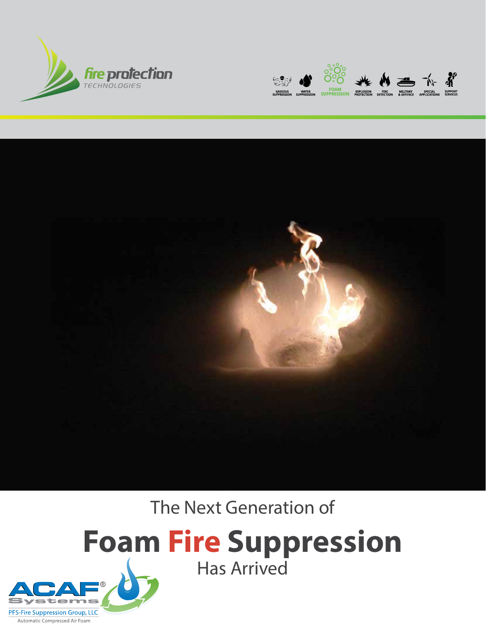





The Next Generation of

## **Foam Fire Suppression** Has Arrived

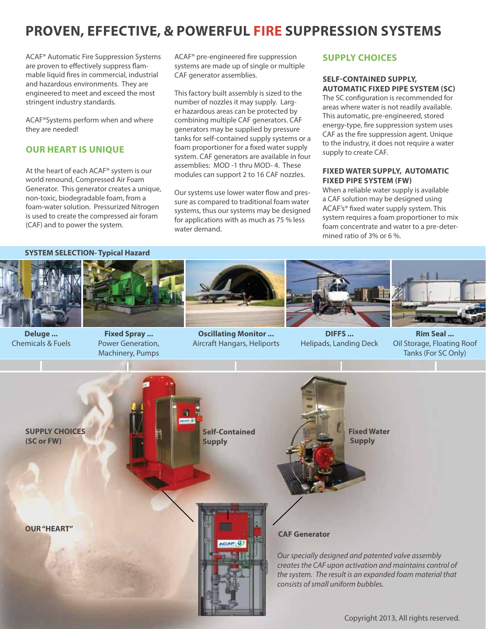## **proven, effective, & powerful Fire Suppression Systems**

ACAF® Automatic Fire Suppression Systems are proven to effectively suppress flammable liquid fires in commercial, industrial and hazardous environments. They are engineered to meet and exceed the most stringent industry standards.

ACAF®Systems perform when and where they are needed!

#### **Our Heart is UNique**

At the heart of each ACAF® system is our world renound, Compressed Air Foam Generator. This generator creates a unique, non-toxic, biodegradable foam, from a foam-water solution. Pressurized Nitrogen is used to create the compressed air foram (CAF) and to power the system.

ACAF® pre-engineered fire suppression systems are made up of single or multiple CAF generator assemblies.

This factory built assembly is sized to the number of nozzles it may supply. Larger hazardous areas can be protected by combining multiple CAF generators. CAF generators may be supplied by pressure tanks for self-contained supply systems or a foam proportioner for a fixed water supply system. CAF generators are available in four assemblies: MOD -1 thru MOD- 4. These modules can support 2 to 16 CAF nozzles.

Our systems use lower water flow and pressure as compared to traditional foam water systems, thus our systems may be designed for applications with as much as 75 % less water demand.

#### **SUPPLY CHOICES**

#### **Self-Contained SUPPLY, Automatic Fixed Pipe System (SC)**

The SC configuration is recommended for areas where water is not readily available. This automatic, pre-engineered, stored energy-type, fire suppression system uses CAF as the fire suppression agent. Unique to the industry, it does not require a water supply to create CAF.

#### **Fixed Water Supply, Automatic Fixed Pipe System (FW)**

When a reliable water supply is available a CAF solution may be designed using ACAF's® fixed water supply system. This system requires a foam proportioner to mix foam concentrate and water to a pre-determined ratio of 3% or 6 %.

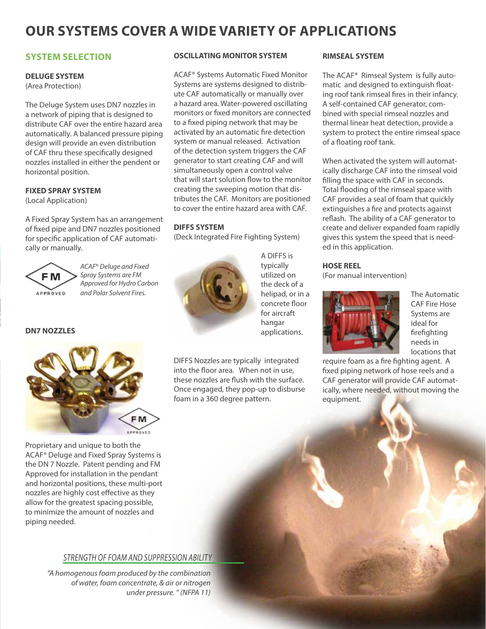### **Our systems cover a wide variety of applications**

#### **SYSTEM SELECTION**

#### **DELUGE SYSTEM**

(Area Protection)

The Deluge System uses DN7 nozzles in a network of piping that is designed to distribute CAF over the entire hazard area automatically. A balanced pressure piping design will provide an even distribution of CAF thru these specifically designed nozzles installed in either the pendent or horizontal position.

**FIXED SPRAY SYSTEM**  (Local Application)

A Fixed Spray System has an arrangement of fixed pipe and DN7 nozzles positioned for specific application of CAF automatically or manually.



*ACAF*® *Deluge and Fixed Spray Systems are FM Approved for Hydro Carbon and Polar Solvent Fires.*

**DN7 NOZZLES**



Proprietary and unique to both the ACAF® Deluge and Fixed Spray Systems is the DN 7 Nozzle. Patent pending and FM Approved for installation in the pendant and horizontal positions, these multi-port nozzles are highly cost effective as they allow for the greatest spacing possible, to minimize the amount of nozzles and piping needed.

#### *Strength of foam and suppression ability*

 *"A homogenous foam produced by the combination of water, foam concentrate, & air or nitrogen under pressure. " (NFPA 11)*

#### **OSCILLATING MONITOR SYSTEM**

ACAF® Systems Automatic Fixed Monitor Systems are systems designed to distribute CAF automatically or manually over a hazard area. Water-powered oscillating monitors or fixed monitors are connected to a fixed piping network that may be activated by an automatic fire detection system or manual released. Activation of the detection system triggers the CAF generator to start creating CAF and will simultaneously open a control valve that will start solution flow to the monitor creating the sweeping motion that distributes the CAF. Monitors are positioned to cover the entire hazard area with CAF.

#### **DIFFS SYSTEM**

(Deck Integrated Fire Fighting System)



A DIFFS is typically utilized on the deck of a helipad, or in a concrete floor for aircraft hangar applications.

DIFFS Nozzles are typically integrated into the floor area. When not in use, these nozzles are flush with the surface. Once engaged, they pop-up to disburse foam in a 360 degree pattern.

#### **RIMSEAL SYSTEM**

The ACAF® Rimseal System is fully automatic and designed to extinguish floating roof tank rimseal fires in their infancy. A self-contained CAF generator, combined with special rimseal nozzles and thermal linear heat detection, provide a system to protect the entire rimseal space of a floating roof tank.

When activated the system will automatically discharge CAF into the rimseal void filling the space with CAF in seconds. Total flooding of the rimseal space with CAF provides a seal of foam that quickly extinguishes a fire and protects against reflash. The ability of a CAF generator to create and deliver expanded foam rapidly gives this system the speed that is needed in this application.

#### **HOSE REEL**

(For manual intervention)



The Automatic CAF Fire Hose Systems are ideal for firefighting needs in locations that

require foam as a fire fighting agent. A fixed piping network of hose reels and a CAF generator will provide CAF automatically, where needed, without moving the equipment.